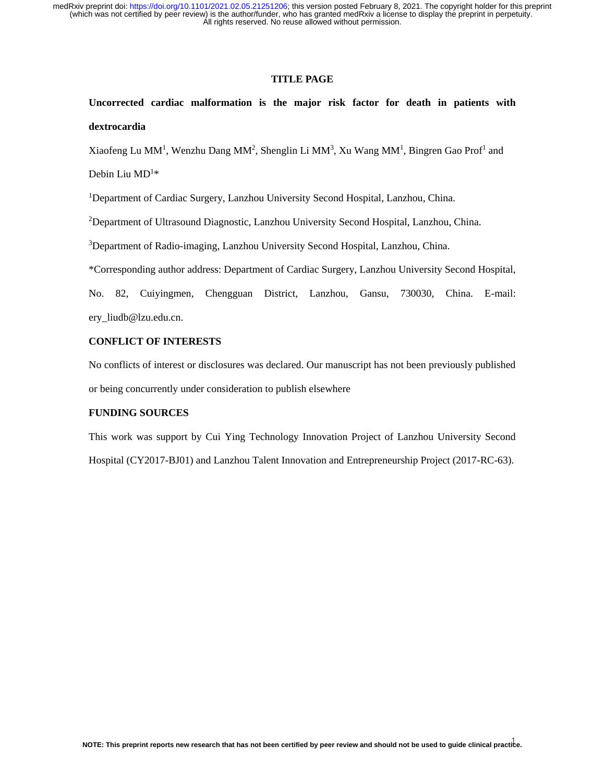## **TITLE PAGE**

**Uncorrected cardiac malformation is the major risk factor for death in patients with dextrocardia**

Xiaofeng Lu MM<sup>1</sup>, Wenzhu Dang MM<sup>2</sup>, Shenglin Li MM<sup>3</sup>, Xu Wang MM<sup>1</sup>, Bingren Gao Prof<sup>1</sup> and

Debin Liu  $MD<sup>1</sup>$ \*

<sup>1</sup>Department of Cardiac Surgery, Lanzhou University Second Hospital, Lanzhou, China.

<sup>2</sup>Department of Ultrasound Diagnostic, Lanzhou University Second Hospital, Lanzhou, China.

<sup>3</sup>Department of Radio-imaging, Lanzhou University Second Hospital, Lanzhou, China.

\*Corresponding author address: Department of Cardiac Surgery, Lanzhou University Second Hospital,

No. 82, Cuiyingmen, Chengguan District, Lanzhou, Gansu, 730030, China. E-mail: ery\_liudb@lzu.edu.cn.

## **CONFLICT OF INTERESTS**

No conflicts of interest or disclosures was declared. Our manuscript has not been previously published or being concurrently under consideration to publish elsewhere

# **FUNDING SOURCES**

This work was support by Cui Ying Technology Innovation Project of Lanzhou University Second Hospital (CY2017-BJ01) and Lanzhou Talent Innovation and Entrepreneurship Project (2017-RC-63).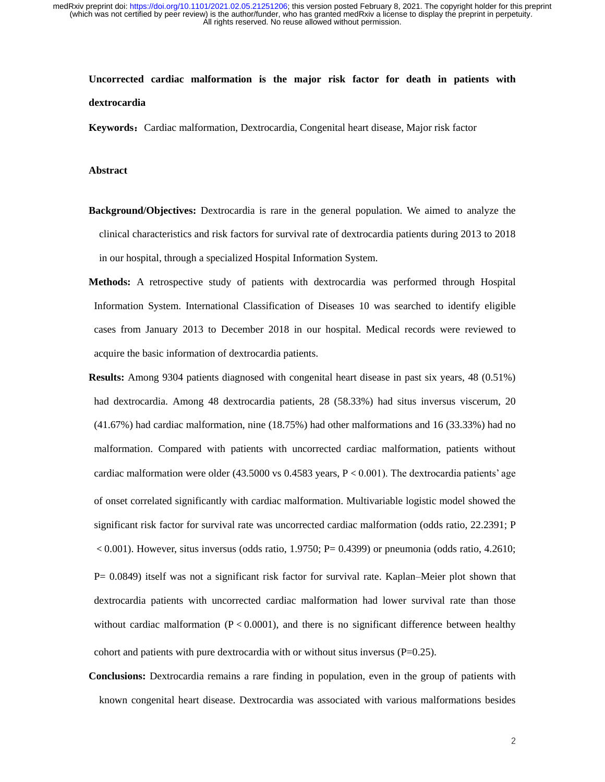# **Uncorrected cardiac malformation is the major risk factor for death in patients with dextrocardia**

**Keywords:** Cardiac malformation, Dextrocardia, Congenital heart disease, Major risk factor

## **Abstract**

- **Background/Objectives:** Dextrocardia is rare in the general population. We aimed to analyze the clinical characteristics and risk factors for survival rate of dextrocardia patients during 2013 to 2018 in our hospital, through a specialized Hospital Information System.
- **Methods:** A retrospective study of patients with dextrocardia was performed through Hospital Information System. International Classification of Diseases 10 was searched to identify eligible cases from January 2013 to December 2018 in our hospital. Medical records were reviewed to acquire the basic information of dextrocardia patients.
- **Results:** Among 9304 patients diagnosed with congenital heart disease in past six years, 48 (0.51%) had dextrocardia. Among 48 dextrocardia patients, 28 (58.33%) had situs inversus viscerum, 20 (41.67%) had cardiac malformation, nine (18.75%) had other malformations and 16 (33.33%) had no malformation. Compared with patients with uncorrected cardiac malformation, patients without cardiac malformation were older  $(43.5000 \text{ vs } 0.4583 \text{ years}, P < 0.001)$ . The dextrocardia patients' age of onset correlated significantly with cardiac malformation. Multivariable logistic model showed the significant risk factor for survival rate was uncorrected cardiac malformation (odds ratio, 22.2391; P  $< 0.001$ ). However, situs inversus (odds ratio, 1.9750; P= 0.4399) or pneumonia (odds ratio, 4.2610; P= 0.0849) itself was not a significant risk factor for survival rate. Kaplan–Meier plot shown that dextrocardia patients with uncorrected cardiac malformation had lower survival rate than those without cardiac malformation  $(P < 0.0001)$ , and there is no significant difference between healthy cohort and patients with pure dextrocardia with or without situs inversus (P=0.25).
- **Conclusions:** Dextrocardia remains a rare finding in population, even in the group of patients with known congenital heart disease. Dextrocardia was associated with various malformations besides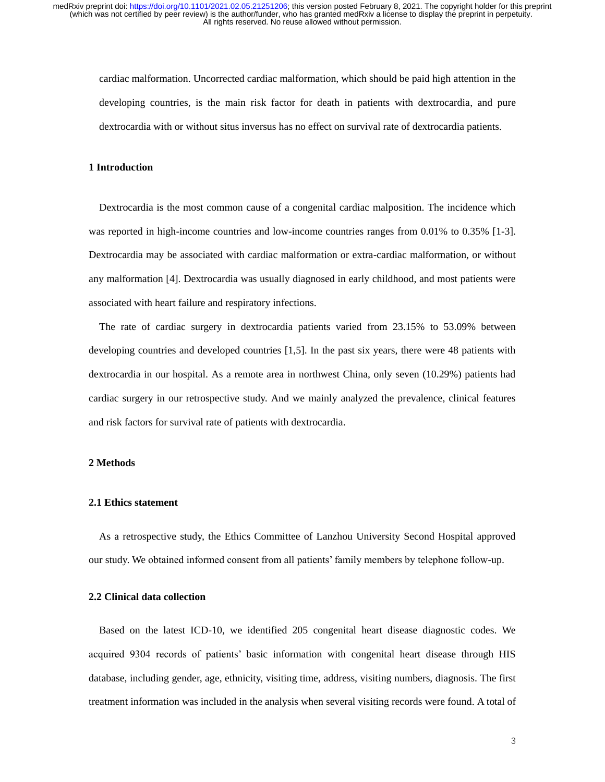cardiac malformation. Uncorrected cardiac malformation, which should be paid high attention in the developing countries, is the main risk factor for death in patients with dextrocardia, and pure dextrocardia with or without situs inversus has no effect on survival rate of dextrocardia patients.

#### **1 Introduction**

Dextrocardia is the most common cause of a congenital cardiac malposition. The incidence which was reported in high-income countries and low-income countries ranges from 0.01% to 0.35% [1-3]. Dextrocardia may be associated with cardiac malformation or extra-cardiac malformation, or without any malformation [4]. Dextrocardia was usually diagnosed in early childhood, and most patients were associated with heart failure and respiratory infections.

The rate of cardiac surgery in dextrocardia patients varied from 23.15% to 53.09% between developing countries and developed countries [1,5]. In the past six years, there were 48 patients with dextrocardia in our hospital. As a remote area in northwest China, only seven (10.29%) patients had cardiac surgery in our retrospective study. And we mainly analyzed the prevalence, clinical features and risk factors for survival rate of patients with dextrocardia.

## **2 Methods**

#### **2.1 Ethics statement**

As a retrospective study, the Ethics Committee of Lanzhou University Second Hospital approved our study. We obtained informed consent from all patients' family members by telephone follow-up.

## **2.2 Clinical data collection**

Based on the latest ICD-10, we identified 205 congenital heart disease diagnostic codes. We acquired 9304 records of patients' basic information with congenital heart disease through HIS database, including gender, age, ethnicity, visiting time, address, visiting numbers, diagnosis. The first treatment information was included in the analysis when several visiting records were found. A total of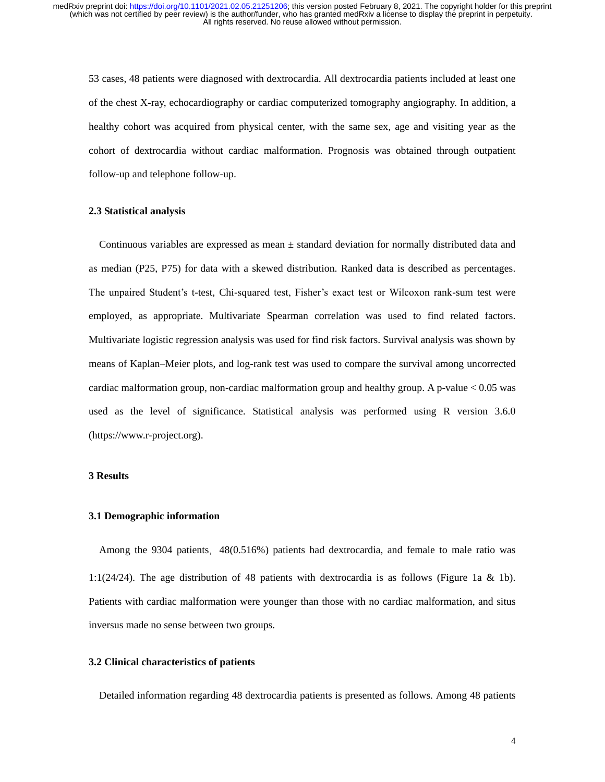53 cases, 48 patients were diagnosed with dextrocardia. All dextrocardia patients included at least one of the chest X-ray, echocardiography or cardiac computerized tomography angiography. In addition, a healthy cohort was acquired from physical center, with the same sex, age and visiting year as the cohort of dextrocardia without cardiac malformation. Prognosis was obtained through outpatient follow-up and telephone follow-up.

## **2.3 Statistical analysis**

Continuous variables are expressed as mean  $\pm$  standard deviation for normally distributed data and as median (P25, P75) for data with a skewed distribution. Ranked data is described as percentages. The unpaired Student's t-test, Chi-squared test, Fisher's exact test or Wilcoxon rank-sum test were employed, as appropriate. Multivariate Spearman correlation was used to find related factors. Multivariate logistic regression analysis was used for find risk factors. Survival analysis was shown by means of Kaplan–Meier plots, and log-rank test was used to compare the survival among uncorrected cardiac malformation group, non-cardiac malformation group and healthy group. A p-value  $< 0.05$  was used as the level of significance. Statistical analysis was performed using R version 3.6.0 (https://www.r-project.org).

## **3 Results**

## **3.1 Demographic information**

Among the 9304 patients, 48(0.516%) patients had dextrocardia, and female to male ratio was 1:1(24/24). The age distribution of 48 patients with dextrocardia is as follows (Figure 1a & 1b). Patients with cardiac malformation were younger than those with no cardiac malformation, and situs inversus made no sense between two groups.

# **3.2 Clinical characteristics of patients**

Detailed information regarding 48 dextrocardia patients is presented as follows. Among 48 patients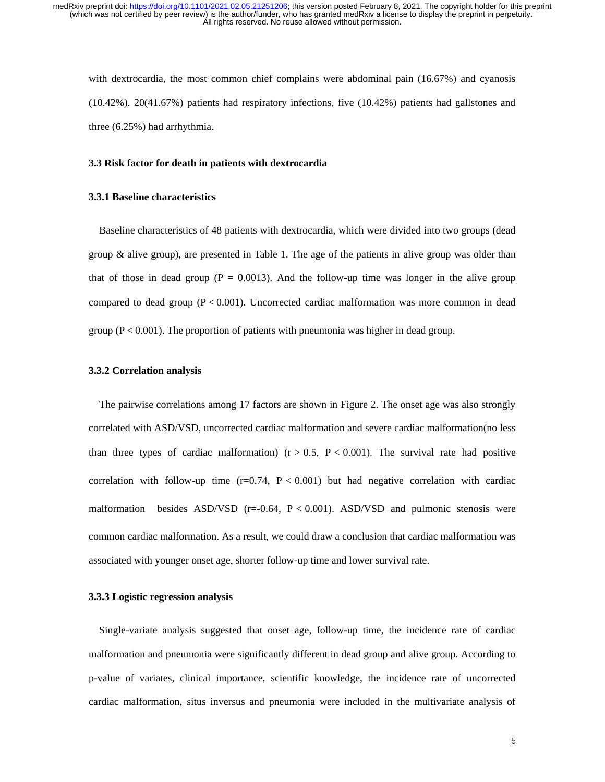with dextrocardia, the most common chief complains were abdominal pain (16.67%) and cyanosis (10.42%). 20(41.67%) patients had respiratory infections, five (10.42%) patients had gallstones and three (6.25%) had arrhythmia.

## **3.3 Risk factor for death in patients with dextrocardia**

## **3.3.1 Baseline characteristics**

Baseline characteristics of 48 patients with dextrocardia, which were divided into two groups (dead group  $\&$  alive group), are presented in Table 1. The age of the patients in alive group was older than that of those in dead group ( $P = 0.0013$ ). And the follow-up time was longer in the alive group compared to dead group  $(P < 0.001)$ . Uncorrected cardiac malformation was more common in dead group ( $P < 0.001$ ). The proportion of patients with pneumonia was higher in dead group.

## **3.3.2 Correlation analysis**

The pairwise correlations among 17 factors are shown in Figure 2. The onset age was also strongly correlated with ASD/VSD, uncorrected cardiac malformation and severe cardiac malformation(no less than three types of cardiac malformation) ( $r > 0.5$ ,  $P < 0.001$ ). The survival rate had positive correlation with follow-up time  $(r=0.74, P < 0.001)$  but had negative correlation with cardiac malformation besides ASD/VSD  $(r=0.64, P < 0.001)$ . ASD/VSD and pulmonic stenosis were common cardiac malformation. As a result, we could draw a conclusion that cardiac malformation was associated with younger onset age, shorter follow-up time and lower survival rate.

## **3.3.3 Logistic regression analysis**

Single-variate analysis suggested that onset age, follow-up time, the incidence rate of cardiac malformation and pneumonia were significantly different in dead group and alive group. According to p-value of variates, clinical importance, scientific knowledge, the incidence rate of uncorrected cardiac malformation, situs inversus and pneumonia were included in the multivariate analysis of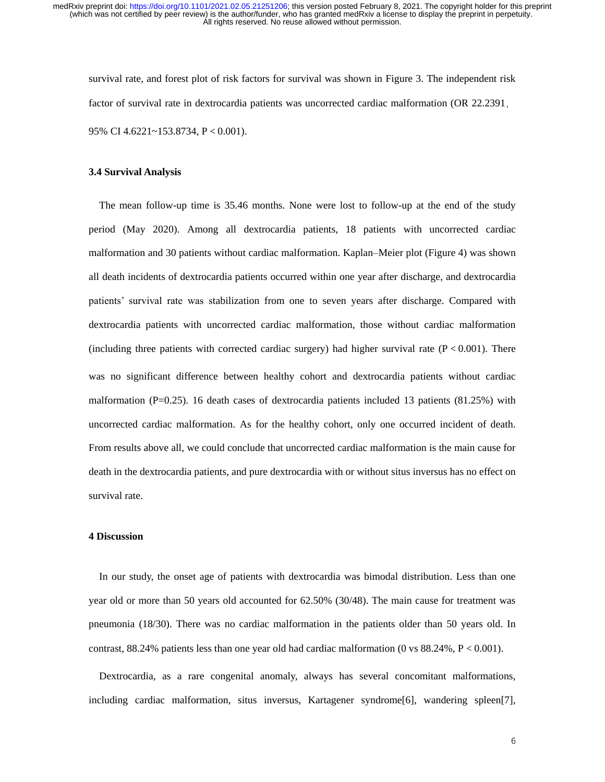survival rate, and forest plot of risk factors for survival was shown in Figure 3. The independent risk factor of survival rate in dextrocardia patients was uncorrected cardiac malformation (OR 22.2391, 95% CI 4.6221~153.8734, P < 0.001).

#### **3.4 Survival Analysis**

The mean follow-up time is 35.46 months. None were lost to follow-up at the end of the study period (May 2020). Among all dextrocardia patients, 18 patients with uncorrected cardiac malformation and 30 patients without cardiac malformation. Kaplan–Meier plot (Figure 4) was shown all death incidents of dextrocardia patients occurred within one year after discharge, and dextrocardia patients' survival rate was stabilization from one to seven years after discharge. Compared with dextrocardia patients with uncorrected cardiac malformation, those without cardiac malformation (including three patients with corrected cardiac surgery) had higher survival rate  $(P < 0.001)$ . There was no significant difference between healthy cohort and dextrocardia patients without cardiac malformation ( $P=0.25$ ). 16 death cases of dextrocardia patients included 13 patients (81.25%) with uncorrected cardiac malformation. As for the healthy cohort, only one occurred incident of death. From results above all, we could conclude that uncorrected cardiac malformation is the main cause for death in the dextrocardia patients, and pure dextrocardia with or without situs inversus has no effect on survival rate.

#### **4 Discussion**

In our study, the onset age of patients with dextrocardia was bimodal distribution. Less than one year old or more than 50 years old accounted for 62.50% (30/48). The main cause for treatment was pneumonia (18/30). There was no cardiac malformation in the patients older than 50 years old. In contrast,  $88.24\%$  patients less than one year old had cardiac malformation (0 vs  $88.24\%$ ,  $P < 0.001$ ).

Dextrocardia, as a rare congenital anomaly, always has several concomitant malformations, including cardiac malformation, situs inversus, Kartagener syndrome[6], wandering spleen[7],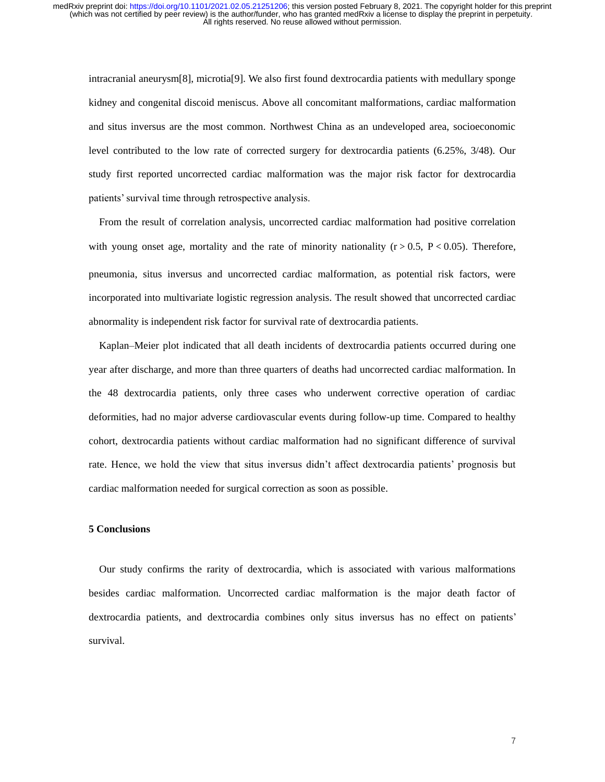intracranial aneurysm[8], microtia[9]. We also first found dextrocardia patients with medullary sponge kidney and congenital discoid meniscus. Above all concomitant malformations, cardiac malformation and situs inversus are the most common. Northwest China as an undeveloped area, socioeconomic level contributed to the low rate of corrected surgery for dextrocardia patients (6.25%, 3/48). Our study first reported uncorrected cardiac malformation was the major risk factor for dextrocardia patients' survival time through retrospective analysis.

From the result of correlation analysis, uncorrected cardiac malformation had positive correlation with young onset age, mortality and the rate of minority nationality  $(r > 0.5, P < 0.05)$ . Therefore, pneumonia, situs inversus and uncorrected cardiac malformation, as potential risk factors, were incorporated into multivariate logistic regression analysis. The result showed that uncorrected cardiac abnormality is independent risk factor for survival rate of dextrocardia patients.

Kaplan–Meier plot indicated that all death incidents of dextrocardia patients occurred during one year after discharge, and more than three quarters of deaths had uncorrected cardiac malformation. In the 48 dextrocardia patients, only three cases who underwent corrective operation of cardiac deformities, had no major adverse cardiovascular events during follow-up time. Compared to healthy cohort, dextrocardia patients without cardiac malformation had no significant difference of survival rate. Hence, we hold the view that situs inversus didn't affect dextrocardia patients' prognosis but cardiac malformation needed for surgical correction as soon as possible.

## **5 Conclusions**

Our study confirms the rarity of dextrocardia, which is associated with various malformations besides cardiac malformation. Uncorrected cardiac malformation is the major death factor of dextrocardia patients, and dextrocardia combines only situs inversus has no effect on patients' survival.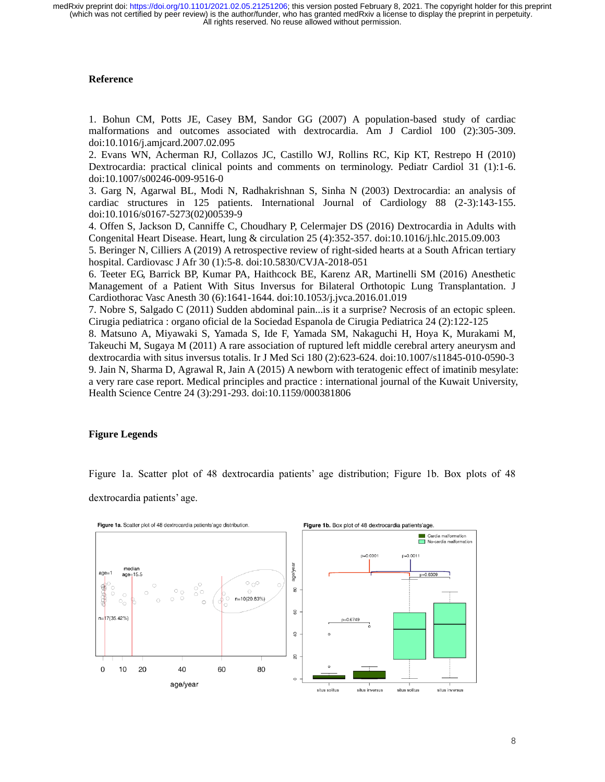# **Reference**

1. Bohun CM, Potts JE, Casey BM, Sandor GG (2007) A population-based study of cardiac malformations and outcomes associated with dextrocardia. Am J Cardiol 100 (2):305-309. doi:10.1016/j.amjcard.2007.02.095

2. Evans WN, Acherman RJ, Collazos JC, Castillo WJ, Rollins RC, Kip KT, Restrepo H (2010) Dextrocardia: practical clinical points and comments on terminology. Pediatr Cardiol 31 (1):1-6. doi:10.1007/s00246-009-9516-0

3. Garg N, Agarwal BL, Modi N, Radhakrishnan S, Sinha N (2003) Dextrocardia: an analysis of cardiac structures in 125 patients. International Journal of Cardiology 88 (2-3):143-155. doi:10.1016/s0167-5273(02)00539-9

4. Offen S, Jackson D, Canniffe C, Choudhary P, Celermajer DS (2016) Dextrocardia in Adults with Congenital Heart Disease. Heart, lung & circulation 25 (4):352-357. doi:10.1016/j.hlc.2015.09.003

5. Beringer N, Cilliers A (2019) A retrospective review of right-sided hearts at a South African tertiary hospital. Cardiovasc J Afr 30 (1):5-8. doi:10.5830/CVJA-2018-051

6. Teeter EG, Barrick BP, Kumar PA, Haithcock BE, Karenz AR, Martinelli SM (2016) Anesthetic Management of a Patient With Situs Inversus for Bilateral Orthotopic Lung Transplantation. J Cardiothorac Vasc Anesth 30 (6):1641-1644. doi:10.1053/j.jvca.2016.01.019

7. Nobre S, Salgado C (2011) Sudden abdominal pain...is it a surprise? Necrosis of an ectopic spleen. Cirugia pediatrica : organo oficial de la Sociedad Espanola de Cirugia Pediatrica 24 (2):122-125

8. Matsuno A, Miyawaki S, Yamada S, Ide F, Yamada SM, Nakaguchi H, Hoya K, Murakami M, Takeuchi M, Sugaya M (2011) A rare association of ruptured left middle cerebral artery aneurysm and dextrocardia with situs inversus totalis. Ir J Med Sci 180 (2):623-624. doi:10.1007/s11845-010-0590-3 9. Jain N, Sharma D, Agrawal R, Jain A (2015) A newborn with teratogenic effect of imatinib mesylate: a very rare case report. Medical principles and practice : international journal of the Kuwait University, Health Science Centre 24 (3):291-293. doi:10.1159/000381806

# **Figure Legends**

Figure 1a. Scatter plot of 48 dextrocardia patients' age distribution; Figure 1b. Box plots of 48

dextrocardia patients' age.

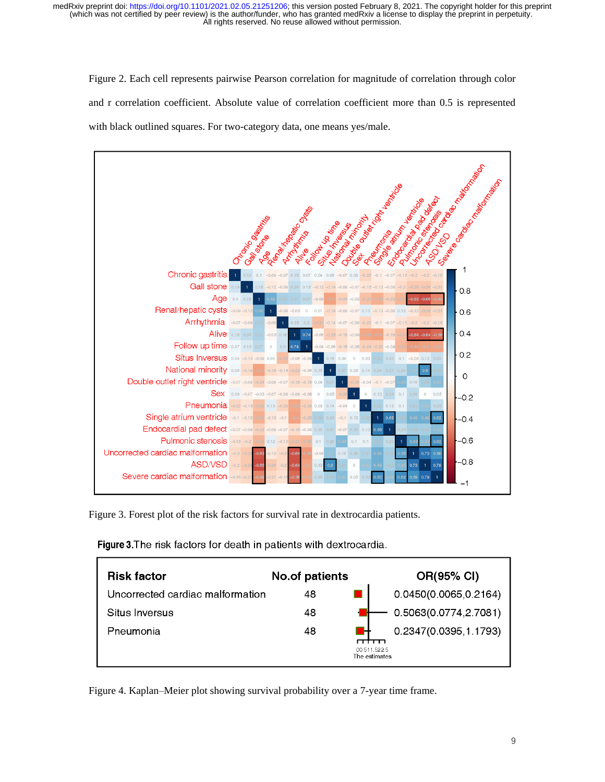Figure 2. Each cell represents pairwise Pearson correlation for magnitude of correlation through color and r correlation coefficient. Absolute value of correlation coefficient more than 0.5 is represented with black outlined squares. For two-category data, one means yes/male.



Figure 3. Forest plot of the risk factors for survival rate in dextrocardia patients.

| <b>Risk factor</b>               | No.of patients | OR(95% CI)                    |
|----------------------------------|----------------|-------------------------------|
| Uncorrected cardiac malformation | 48             | 0.0450(0.0065,0.2164)         |
| Situs Inversus                   | 48             | 0.5063(0.0774,2.7081)         |
| Pneumonia                        | 48             | 0.2347(0.0395,1.1793)         |
|                                  |                | 00 511 522 5<br>The estimates |

Figure 3. The risk factors for death in patients with dextrocardia.

Figure 4. Kaplan–Meier plot showing survival probability over a 7-year time frame.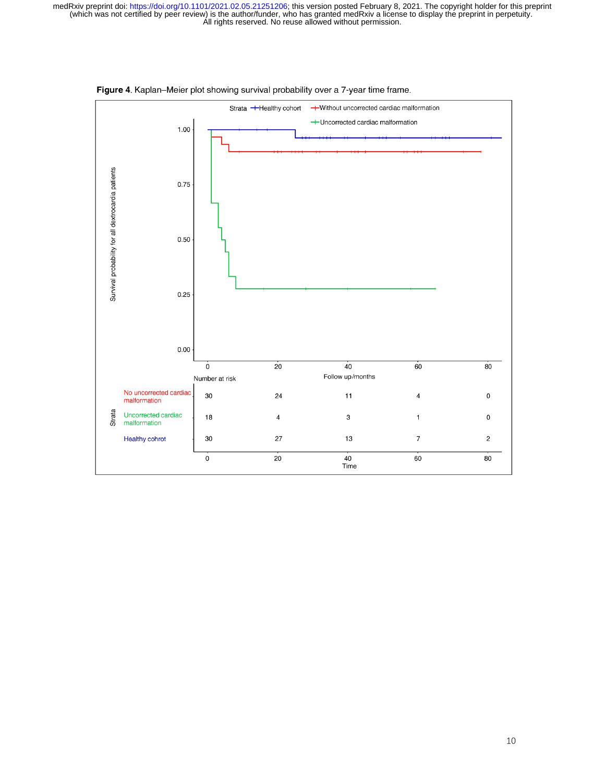

Figure 4. Kaplan-Meier plot showing survival probability over a 7-year time frame.